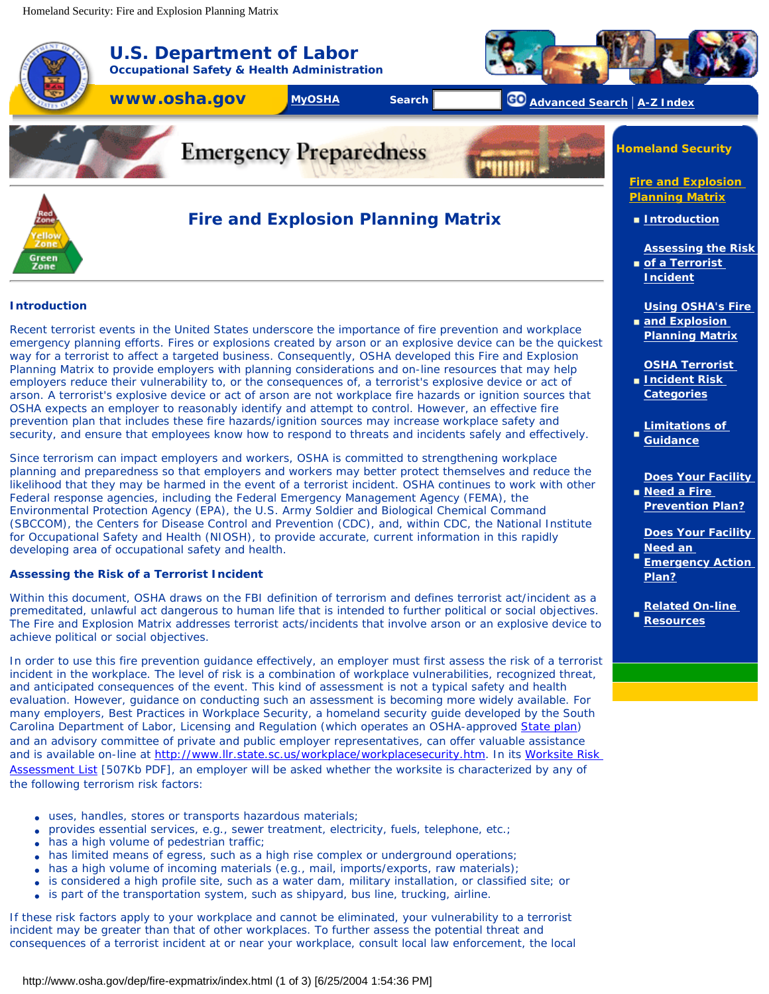<span id="page-0-0"></span>Homeland Security: Fire and Explosion Planning Matrix



#### <span id="page-0-1"></span>**Introduction**

Recent terrorist events in the United States underscore the importance of fire prevention and workplace emergency planning efforts. Fires or explosions created by arson or an explosive device can be the quickest way for a terrorist to affect a targeted business. Consequently, OSHA developed this Fire and Explosion Planning Matrix to provide employers with planning considerations and on-line resources that may help employers reduce their vulnerability to, or the consequences of, a terrorist's explosive device or act of arson. A terrorist's explosive device or act of arson are not workplace fire hazards or ignition sources that OSHA expects an employer to reasonably identify and attempt to control. However, an effective fire prevention plan that includes these fire hazards/ignition sources may increase workplace safety and security, and ensure that employees know how to respond to threats and incidents safely and effectively.

Since terrorism can impact employers and workers, OSHA is committed to strengthening workplace planning and preparedness so that employers and workers may better protect themselves and reduce the likelihood that they may be harmed in the event of a terrorist incident. OSHA continues to work with other Federal response agencies, including the Federal Emergency Management Agency (FEMA), the Environmental Protection Agency (EPA), the U.S. Army Soldier and Biological Chemical Command (SBCCOM), the Centers for Disease Control and Prevention (CDC), and, within CDC, the National Institute for Occupational Safety and Health (NIOSH), to provide accurate, current information in this rapidly developing area of occupational safety and health.

### <span id="page-0-2"></span>**Assessing the Risk of a Terrorist Incident**

Within this document, OSHA draws on the FBI definition of *terrorism* and defines *terrorist act/incident* as a premeditated, unlawful act dangerous to human life that is intended to further political or social objectives. The Fire and Explosion Matrix addresses terrorist acts/incidents that involve arson or an explosive device to achieve political or social objectives.

In order to use this fire prevention guidance effectively, an employer must first assess the risk of a terrorist incident in the workplace. The level of risk is a combination of workplace vulnerabilities, recognized threat, and anticipated consequences of the event. This kind of assessment is not a typical safety and health evaluation. However, guidance on conducting such an assessment is becoming more widely available. For many employers, *Best Practices in Workplace Security*, a homeland security guide developed by the South Carolina Department of Labor, Licensing and Regulation (which operates an OSHA-approved [State plan\)](http://www.osha.gov/fso/osp/index.html) and an advisory committee of private and public employer representatives, can offer valuable assistance and is available on-line at [http://www.llr.state.sc.us/workplace/workplacesecurity.htm.](http://www.osha.gov/pls/oshaweb/owaredirect.html?p_url=http://www.llr.state.sc.us/workplace/workplacesecurity.htm) In its [Worksite Risk](http://www.osha.gov/pls/oshaweb/owaredirect.html?p_url=http://www.llr.state.sc.us/workplace/sectone.pdf)  [Assessment List](http://www.osha.gov/pls/oshaweb/owaredirect.html?p_url=http://www.llr.state.sc.us/workplace/sectone.pdf) [507Kb PDF], an employer will be asked whether the worksite is characterized by any of the following terrorism risk factors:

- uses, handles, stores or transports hazardous materials;
- provides essential services, e.g., sewer treatment, electricity, fuels, telephone, etc.;
- has a high volume of pedestrian traffic;
- has limited means of egress, such as a high rise complex or underground operations;
- has a high volume of incoming materials (e.g., mail, imports/exports, raw materials);
- is considered a high profile site, such as a water dam, military installation, or classified site; or
- is part of the transportation system, such as shipyard, bus line, trucking, airline.

If these risk factors apply to your workplace and cannot be eliminated, your vulnerability to a terrorist incident may be greater than that of other workplaces. To further assess the potential threat and consequences of a terrorist incident at or near your workplace, consult local law enforcement, the local

- **[Incident](#page-0-2)**
- **[Using OSHA's Fire](#page-1-0) [and Explosion](#page-1-0) [Planning Matrix](#page-1-0)**
- **[OSHA Terrorist](#page-1-1) [Incident Risk](#page-1-1)  [Categories](#page-1-1)**
- **[Limitations of](#page-2-0) [Guidance](#page-2-0)**
- **[Does Your Facility](http://www.osha.gov/dep/fire-expmatrix/fire-explosion_appa.html)  [Need a Fire](http://www.osha.gov/dep/fire-expmatrix/fire-explosion_appa.html)  [Prevention Plan?](http://www.osha.gov/dep/fire-expmatrix/fire-explosion_appa.html)**
- **[Does Your Facility](http://www.osha.gov/dep/fire-expmatrix/fire-explosion_appb.html)  [Need an](http://www.osha.gov/dep/fire-expmatrix/fire-explosion_appb.html)  [Emergency Action](http://www.osha.gov/dep/fire-expmatrix/fire-explosion_appb.html) [Plan?](http://www.osha.gov/dep/fire-expmatrix/fire-explosion_appb.html)**
- **[Related On-line](http://www.osha.gov/dep/fire-expmatrix/fire-explosion_appc.html)  [Resources](http://www.osha.gov/dep/fire-expmatrix/fire-explosion_appc.html)**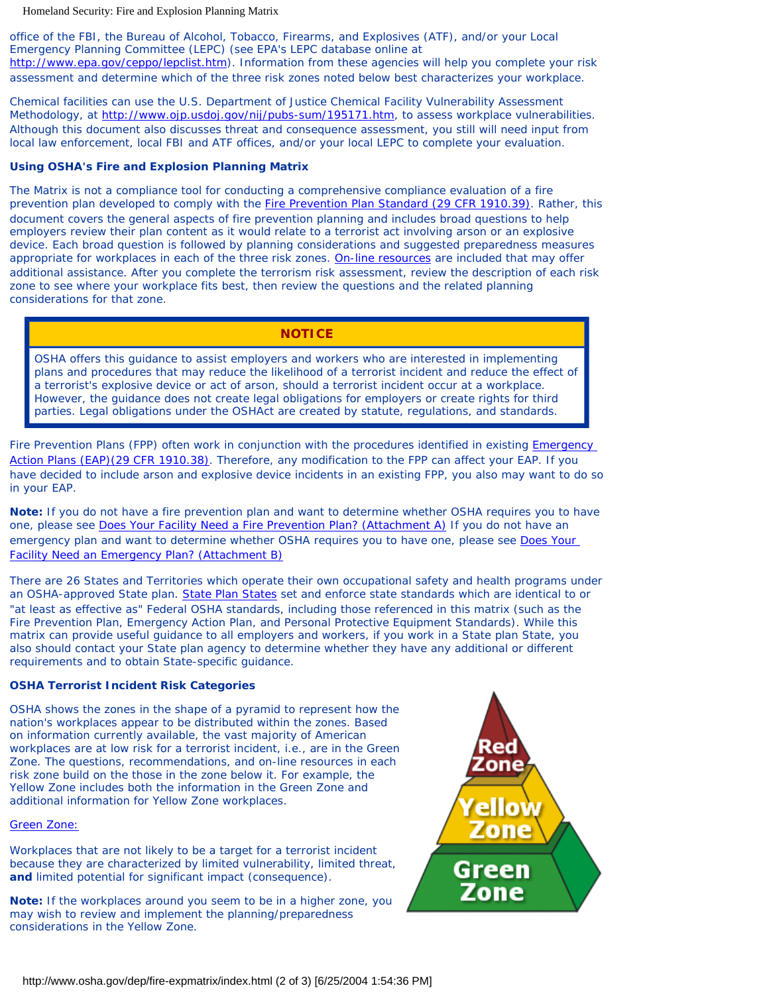Homeland Security: Fire and Explosion Planning Matrix

office of the FBI, the Bureau of Alcohol, Tobacco, Firearms, and Explosives (ATF), and/or your Local Emergency Planning Committee (LEPC) (see EPA's LEPC database online at [http://www.epa.gov/ceppo/lepclist.htm\)](http://www.osha.gov/pls/oshaweb/owaredirect.html?p_url=http://www.epa.gov/ceppo/lepclist.htm). Information from these agencies will help you complete your risk assessment and determine which of the three risk zones noted below best characterizes your workplace.

Chemical facilities can use the U.S. Department of Justice Chemical Facility Vulnerability Assessment Methodology, at [http://www.ojp.usdoj.gov/nij/pubs-sum/195171.htm](http://www.osha.gov/pls/oshaweb/owaredirect.html?p_url=http://www.ojp.usdoj.gov/nij/pubs-sum/195171.htm), to assess workplace vulnerabilities. Although this document also discusses threat and consequence assessment, you still will need input from local law enforcement, local FBI and ATF offices, and/or your local LEPC to complete your evaluation.

## <span id="page-1-0"></span>**Using OSHA's Fire and Explosion Planning Matrix**

The Matrix is not a compliance tool for conducting a comprehensive compliance evaluation of a fire prevention plan developed to comply with the [Fire Prevention Plan Standard \(29 CFR 1910.39\)](http://www.osha.gov/pls/oshaweb/owadisp.show_document?p_table=STANDARDS&p_id=12887). Rather, this document covers the general aspects of fire prevention planning and includes broad questions to help employers review their plan content as it would relate to a terrorist act involving arson or an explosive device. Each broad question is followed by planning considerations and suggested preparedness measures appropriate for workplaces in each of the three risk zones. [On-line resources](http://www.osha.gov/dep/fire-expmatrix/fire-explosion_appc.html) are included that may offer additional assistance. After you complete the terrorism risk assessment, review the description of each risk zone to see where your workplace fits best, then review the questions and the related planning considerations for that zone.

# **NOTICE**

OSHA offers this guidance to assist employers and workers who are interested in implementing plans and procedures that may reduce the likelihood of a terrorist incident and reduce the effect of a terrorist's explosive device or act of arson, should a terrorist incident occur at a workplace. However, the guidance does not create legal obligations for employers or create rights for third parties. Legal obligations under the OSHAct are created by statute, regulations, and standards.

Fire Prevention Plans (FPP) often work in conjunction with the procedures identified in existing Emergency [Action Plans \(EAP\)\(29 CFR 1910.38\).](http://www.osha.gov/pls/oshaweb/owadisp.show_document?p_table=STANDARDS&p_id=9726) Therefore, any modification to the FPP can affect your EAP. If you have decided to include arson and explosive device incidents in an existing FPP, you also may want to do so in your EAP.

**Note:** If you do not have a fire prevention plan and want to determine whether OSHA requires you to have one, please see [Does Your Facility Need a Fire Prevention Plan? \(Attachment A\)](http://www.osha.gov/dep/fire-expmatrix/fire-explosion_appa.html) If you do not have an emergency plan and want to determine whether OSHA requires you to have one, please see [Does Your](http://www.osha.gov/dep/fire-expmatrix/fire-explosion_appb.html)  [Facility Need an Emergency Plan? \(Attachment B\)](http://www.osha.gov/dep/fire-expmatrix/fire-explosion_appb.html)

There are 26 States and Territories which operate their own occupational safety and health programs under an OSHA-approved State plan. [State Plan States](http://www.osha.gov/fso/osp/index.html) set and enforce state standards which are identical to or "at least as effective as" Federal OSHA standards, including those referenced in this matrix (such as the Fire Prevention Plan, Emergency Action Plan, and Personal Protective Equipment Standards). While this matrix can provide useful guidance to all employers and workers, if you work in a State plan State, you also should contact your State plan agency to determine whether they have any additional or different requirements and to obtain State-specific guidance.

# <span id="page-1-1"></span>**OSHA Terrorist Incident Risk Categories**

OSHA shows the zones in the shape of a pyramid to represent how the nation's workplaces appear to be distributed within the zones. Based on information currently available, the vast majority of American workplaces are at low risk for a terrorist incident, i.e., are in the Green Zone. The questions, recommendations, and on-line resources in each risk zone build on the those in the zone below it. For example, the Yellow Zone includes both the information in the Green Zone and additional information for Yellow Zone workplaces.

# [Green Zone:](http://www.osha.gov/dep/fire-expmatrix/fire-explosion-green.html)

Workplaces that are not likely to be a target for a terrorist incident because they are characterized by limited vulnerability, limited threat, **and** limited potential for significant impact (consequence).

**Note:** If the workplaces around you seem to be in a higher zone, you may wish to review and implement the planning/preparedness considerations in the Yellow Zone.